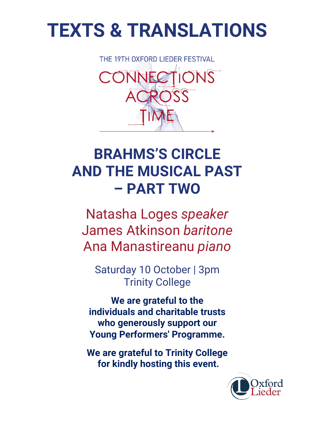# **TEXTS & TRANSLATIONS**



## **BRAHMS'S CIRCLE AND THE MUSICAL PAST – PART TWO**

Natasha Loges *speaker* James Atkinson *baritone* Ana Manastireanu *piano*

Saturday 10 October | 3pm Trinity College

**We are grateful to the individuals and charitable trusts who generously support our Young Performers' Programme.**

**We are grateful to Trinity College for kindly hosting this event.**

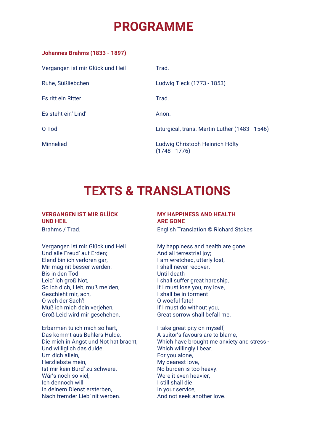## **PROGRAMME**

| <b>Johannes Brahms (1833 - 1897)</b> |  |  |
|--------------------------------------|--|--|
|--------------------------------------|--|--|

| Vergangen ist mir Glück und Heil | Trad.                                              |
|----------------------------------|----------------------------------------------------|
| Ruhe, Süßliebchen                | Ludwig Tieck (1773 - 1853)                         |
| Es ritt ein Ritter               | Trad.                                              |
| Es steht ein' Lind'              | Anon.                                              |
| O Tod                            | Liturgical, trans. Martin Luther (1483 - 1546)     |
| <b>Minnelied</b>                 | Ludwig Christoph Heinrich Hölty<br>$(1748 - 1776)$ |

## **TEXTS & TRANSLATIONS**

### **VERGANGEN IST MIR GLÜCK UND HEIL**

Vergangen ist mir Glück und Heil Und alle Freud' auf Erden; Elend bin ich verloren gar, Mir mag nit besser werden. Bis in den Tod Leid' ich groß Not, So ich dich, Lieb, muß meiden, Geschieht mir, ach, O weh der Sach'! Muß ich mich dein verjehen, Groß Leid wird mir geschehen.

Erbarmen tu ich mich so hart, Das kommt aus Buhlers Hulde, Die mich in Angst und Not hat bracht, Und williglich das dulde. Um dich allein, Herzliebste mein, Ist mir kein Bürd' zu schwere. Wär's noch so viel, Ich dennoch will In deinem Dienst ersterben, Nach fremder Lieb' nit werben.

## **MY HAPPINESS AND HEALTH ARE GONE**

Brahms / Trad. English Translation © Richard Stokes

My happiness and health are gone And all terrestrial joy; I am wretched, utterly lost, I shall never recover. Until death I shall suffer great hardship, If I must lose you, my love, I shall be in torment— O woeful fate! If I must do without you, Great sorrow shall befall me.

I take great pity on myself, A suitor's favours are to blame, Which have brought me anxiety and stress - Which willingly I bear. For you alone, My dearest love, No burden is too heavy. Were it even heavier, I still shall die In your service, And not seek another love.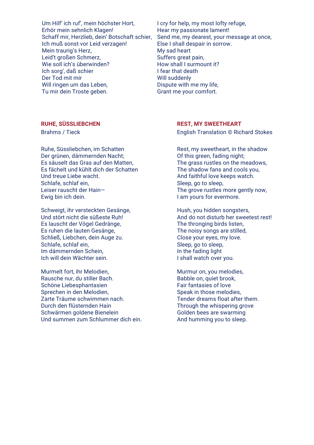Um Hilf' ich ruf', mein höchster Hort, Erhör mein sehnlich Klagen! Schaff mir, Herzlieb, dein' Botschaft schier, Ich muß sonst vor Leid verzagen! Mein traurig's Herz, Leid't großen Schmerz, Wie soll ich's überwinden? Ich sorg', daß schier Der Tod mit mir Will ringen um das Leben, Tu mir dein Troste geben.

I cry for help, my most lofty refuge, Hear my passionate lament! Send me, my dearest, your message at once, Else I shall despair in sorrow. My sad heart Suffers great pain, How shall I surmount it? I fear that death Will suddenly Dispute with me my life, Grant me your comfort.

## **RUHE, SÜSSLIEBCHEN REST, MY SWEETHEART**

Ruhe, Süssliebchen, im Schatten Der grünen, dämmernden Nacht; Es säuselt das Gras auf den Matten, Es fächelt und kühlt dich der Schatten Und treue Liebe wacht. Schlafe, schlaf ein, Leiser rauscht der Hain— Ewig bin ich dein.

Schweigt, ihr versteckten Gesänge, Und stört nicht die süßeste Ruh! Es lauscht der Vögel Gedränge, Es ruhen die lauten Gesänge, Schließ, Liebchen, dein Auge zu. Schlafe, schlaf ein, Im dämmernden Schein, Ich will dein Wächter sein.

Murmelt fort, ihr Melodien, Rausche nur, du stiller Bach. Schöne Liebesphantasien Sprechen in den Melodien, Zarte Träume schwimmen nach. Durch den flüsternden Hain Schwärmen goldene Bienelein Und summen zum Schlummer dich ein.

Brahms / Tieck **English Translation © Richard Stokes** 

Rest, my sweetheart, in the shadow Of this green, fading night; The grass rustles on the meadows, The shadow fans and cools you, And faithful love keeps watch. Sleep, go to sleep, The grove rustles more gently now, I am yours for evermore.

Hush, you hidden songsters, And do not disturb her sweetest rest! The thronging birds listen. The noisy songs are stilled, Close your eyes, my love. Sleep, go to sleep, In the fading light I shall watch over you.

Murmur on, you melodies, Babble on, quiet brook, Fair fantasies of love Speak in those melodies, Tender dreams float after them. Through the whispering grove Golden bees are swarming And humming you to sleep.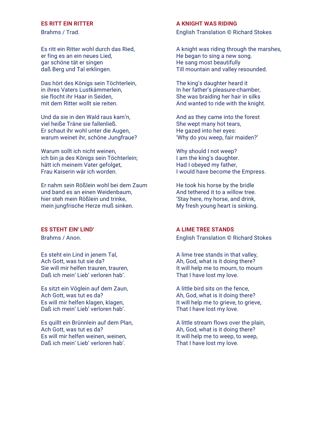Es ritt ein Ritter wohl durch das Ried, er fing es an ein neues Lied, gar schöne tät er singen daß Berg und Tal erklingen.

Das hört des Königs sein Töchterlein, in ihres Vaters Lustkämmerlein, sie flocht ihr Haar in Seiden, mit dem Ritter wollt sie reiten.

Und da sie in den Wald raus kam'n, viel heiße Träne sie fallenließ. Er schaut ihr wohl unter die Augen, warum weinet ihr, schöne Jungfraue?

Warum sollt ich nicht weinen, ich bin ja des Königs sein Töchterlein; hätt ich meinem Vater gefolget, Frau Kaiserin wär ich worden.

Er nahm sein Rößlein wohl bei dem Zaum und band es an einen Weidenbaum, hier steh mein Rößlein und trinke, mein jungfrische Herze muß sinken.

Es steht ein Lind in jenem Tal, Ach Gott, was tut sie da? Sie will mir helfen trauren, trauren, Daß ich mein' Lieb' verloren hab'.

Es sitzt ein Vöglein auf dem Zaun, Ach Gott, was tut es da? Es will mir helfen klagen, klagen, Daß ich mein' Lieb' verloren hab'.

Es quillt ein Brünnlein auf dem Plan, Ach Gott, was tut es da? Es will mir helfen weinen, weinen, Daß ich mein' Lieb' verloren hab'.

### **ES RITT EIN RITTER A KNIGHT WAS RIDING**

Brahms / Trad. English Translation © Richard Stokes

A knight was riding through the marshes, He began to sing a new song. He sang most beautifully Till mountain and valley resounded.

The king's daughter heard it In her father's pleasure-chamber, She was braiding her hair in silks And wanted to ride with the knight.

And as they came into the forest She wept many hot tears, He gazed into her eyes: 'Why do you weep, fair maiden?'

Why should I not weep? I am the king's daughter. Had I obeyed my father, I would have become the Empress.

He took his horse by the bridle And tethered it to a willow tree. 'Stay here, my horse, and drink, My fresh young heart is sinking.

## **ES STEHT EIN' LIND' A LIME TREE STANDS**

Brahms / Anon. English Translation © Richard Stokes

A lime tree stands in that valley, Ah, God, what is it doing there? It will help me to mourn, to mourn That I have lost my love.

A little bird sits on the fence, Ah, God, what is it doing there? It will help me to grieve, to grieve, That I have lost my love.

A little stream flows over the plain, Ah, God, what is it doing there? It will help me to weep, to weep, That I have lost my love.